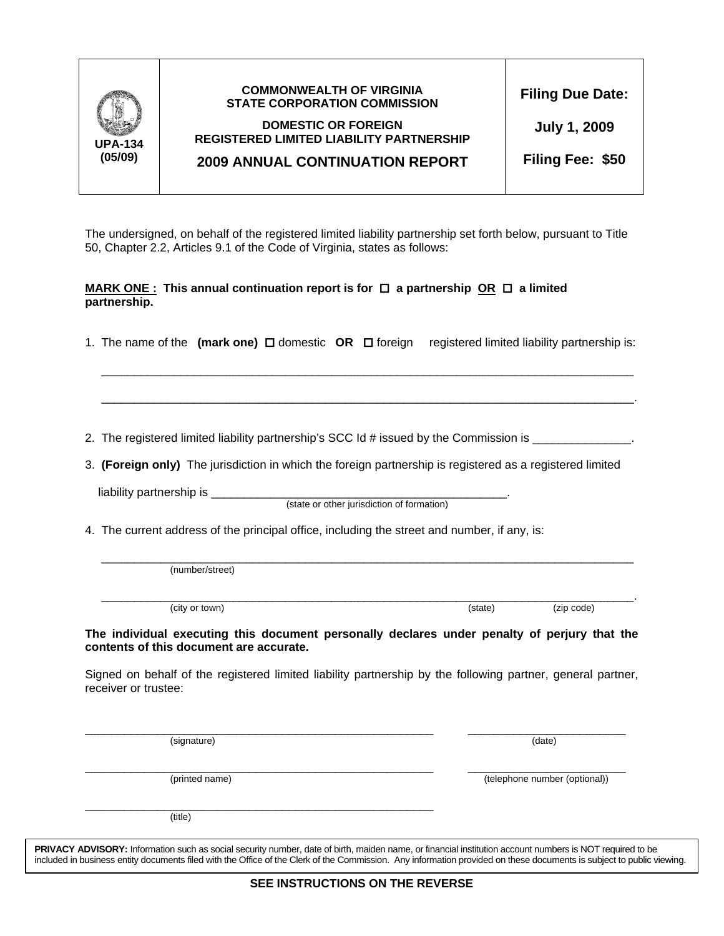| <b>UPA-134</b><br>(05/09) | <b>COMMONWEALTH OF VIRGINIA</b><br><b>STATE CORPORATION COMMISSION</b><br><b>DOMESTIC OR FOREIGN</b><br><b>REGISTERED LIMITED LIABILITY PARTNERSHIP</b><br><b>2009 ANNUAL CONTINUATION REPORT</b> | <b>Filing Due Date:</b><br><b>July 1, 2009</b><br>Filing Fee: \$50 |
|---------------------------|---------------------------------------------------------------------------------------------------------------------------------------------------------------------------------------------------|--------------------------------------------------------------------|
|                           |                                                                                                                                                                                                   |                                                                    |

The undersigned, on behalf of the registered limited liability partnership set forth below, pursuant to Title 50, Chapter 2.2, Articles 9.1 of the Code of Virginia, states as follows:

## **MARK ONE :** This annual continuation report is for  $\Box$  a partnership OR  $\Box$  a limited **partnership.**

1. The name of the (mark one) **□** domestic **OR** □ foreign registered limited liability partnership is:

 $\overline{\phantom{a}}$  ,  $\overline{\phantom{a}}$  ,  $\overline{\phantom{a}}$  ,  $\overline{\phantom{a}}$  ,  $\overline{\phantom{a}}$  ,  $\overline{\phantom{a}}$  ,  $\overline{\phantom{a}}$  ,  $\overline{\phantom{a}}$  ,  $\overline{\phantom{a}}$  ,  $\overline{\phantom{a}}$  ,  $\overline{\phantom{a}}$  ,  $\overline{\phantom{a}}$  ,  $\overline{\phantom{a}}$  ,  $\overline{\phantom{a}}$  ,  $\overline{\phantom{a}}$  ,  $\overline{\phantom{a}}$ 

 $\overline{\phantom{a}}$  ,  $\overline{\phantom{a}}$  ,  $\overline{\phantom{a}}$  ,  $\overline{\phantom{a}}$  ,  $\overline{\phantom{a}}$  ,  $\overline{\phantom{a}}$  ,  $\overline{\phantom{a}}$  ,  $\overline{\phantom{a}}$  ,  $\overline{\phantom{a}}$  ,  $\overline{\phantom{a}}$  ,  $\overline{\phantom{a}}$  ,  $\overline{\phantom{a}}$  ,  $\overline{\phantom{a}}$  ,  $\overline{\phantom{a}}$  ,  $\overline{\phantom{a}}$  ,  $\overline{\phantom{a}}$ 

2. The registered limited liability partnership's SCC Id # issued by the Commission is \_\_\_\_\_\_\_\_\_\_\_\_\_\_\_.

3. **(Foreign only)** The jurisdiction in which the foreign partnership is registered as a registered limited

liability partnership is \_\_\_\_\_\_\_\_\_\_\_\_\_\_\_\_\_\_\_\_\_\_\_\_\_\_\_\_\_\_\_\_\_\_\_\_\_\_\_\_\_\_\_\_\_.

(state or other jurisdiction of formation)

4. The current address of the principal office, including the street and number, if any, is:

 $\overline{\phantom{a}}$  ,  $\overline{\phantom{a}}$  ,  $\overline{\phantom{a}}$  ,  $\overline{\phantom{a}}$  ,  $\overline{\phantom{a}}$  ,  $\overline{\phantom{a}}$  ,  $\overline{\phantom{a}}$  ,  $\overline{\phantom{a}}$  ,  $\overline{\phantom{a}}$  ,  $\overline{\phantom{a}}$  ,  $\overline{\phantom{a}}$  ,  $\overline{\phantom{a}}$  ,  $\overline{\phantom{a}}$  ,  $\overline{\phantom{a}}$  ,  $\overline{\phantom{a}}$  ,  $\overline{\phantom{a}}$ (number/street)

 $\overline{\phantom{a}}$  ,  $\overline{\phantom{a}}$  ,  $\overline{\phantom{a}}$  ,  $\overline{\phantom{a}}$  ,  $\overline{\phantom{a}}$  ,  $\overline{\phantom{a}}$  ,  $\overline{\phantom{a}}$  ,  $\overline{\phantom{a}}$  ,  $\overline{\phantom{a}}$  ,  $\overline{\phantom{a}}$  ,  $\overline{\phantom{a}}$  ,  $\overline{\phantom{a}}$  ,  $\overline{\phantom{a}}$  ,  $\overline{\phantom{a}}$  ,  $\overline{\phantom{a}}$  ,  $\overline{\phantom{a}}$ (city or town) (city or town) (city or town)

**The individual executing this document personally declares under penalty of perjury that the contents of this document are accurate.**

Signed on behalf of the registered limited liability partnership by the following partner, general partner, receiver or trustee:

\_\_\_\_\_\_\_\_\_\_\_\_\_\_\_\_\_\_\_\_\_\_\_\_\_\_\_\_\_\_\_\_\_\_\_\_\_\_\_\_\_\_\_\_\_\_\_\_\_\_\_\_\_ \_\_\_\_\_\_\_\_\_\_\_\_\_\_\_\_\_\_\_\_\_\_\_\_ (signature) (date)

(printed name) (telephone number (optional))

\_\_\_\_\_\_\_\_\_\_\_\_\_\_\_\_\_\_\_\_\_\_\_\_\_\_\_\_\_\_\_\_\_\_\_\_\_\_\_\_\_\_\_\_\_\_\_\_\_\_\_\_\_

\_\_\_\_\_\_\_\_\_\_\_\_\_\_\_\_\_\_\_\_\_\_\_\_\_\_\_\_\_\_\_\_\_\_\_\_\_\_\_\_\_\_\_\_\_\_\_\_\_\_\_\_\_ \_\_\_\_\_\_\_\_\_\_\_\_\_\_\_\_\_\_\_\_\_\_\_\_

(title)

**PRIVACY ADVISORY:** Information such as social security number, date of birth, maiden name, or financial institution account numbers is NOT required to be included in business entity documents filed with the Office of the Clerk of the Commission. Any information provided on these documents is subject to public viewing.